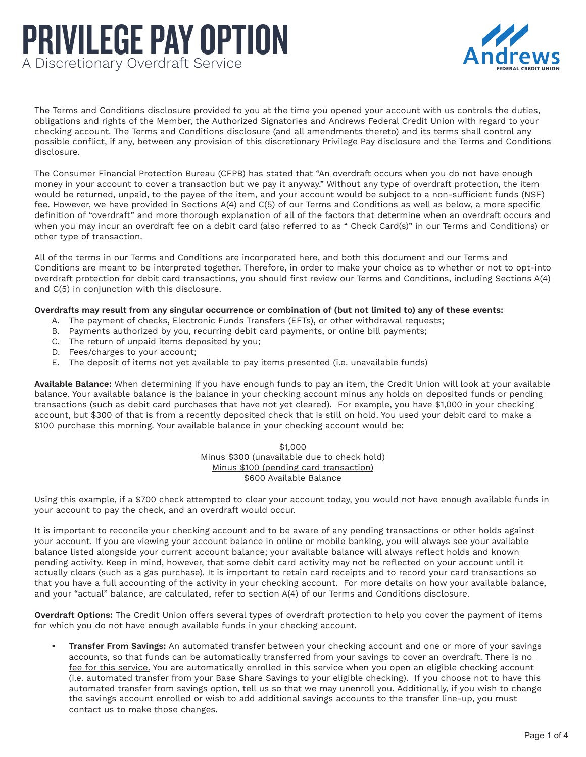## PRIVILEGE PAY OPTION A Discretionary Overdraft Service



The Terms and Conditions disclosure provided to you at the time you opened your account with us controls the duties, obligations and rights of the Member, the Authorized Signatories and Andrews Federal Credit Union with regard to your checking account. The Terms and Conditions disclosure (and all amendments thereto) and its terms shall control any possible conflict, if any, between any provision of this discretionary Privilege Pay disclosure and the Terms and Conditions disclosure.

The Consumer Financial Protection Bureau (CFPB) has stated that "An overdraft occurs when you do not have enough money in your account to cover a transaction but we pay it anyway." Without any type of overdraft protection, the item would be returned, unpaid, to the payee of the item, and your account would be subject to a non-sufficient funds (NSF) fee. However, we have provided in Sections A(4) and C(5) of our Terms and Conditions as well as below, a more specific definition of "overdraft" and more thorough explanation of all of the factors that determine when an overdraft occurs and when you may incur an overdraft fee on a debit card (also referred to as " Check Card(s)" in our Terms and Conditions) or other type of transaction.

All of the terms in our Terms and Conditions are incorporated here, and both this document and our Terms and Conditions are meant to be interpreted together. Therefore, in order to make your choice as to whether or not to opt-into overdraft protection for debit card transactions, you should first review our Terms and Conditions, including Sections A(4) and C(5) in conjunction with this disclosure.

## **Overdrafts may result from any singular occurrence or combination of (but not limited to) any of these events:**

- A. The payment of checks, Electronic Funds Transfers (EFTs), or other withdrawal requests;
- B. Payments authorized by you, recurring debit card payments, or online bill payments;
- C. The return of unpaid items deposited by you;
- D. Fees/charges to your account;
- E. The deposit of items not yet available to pay items presented (i.e. unavailable funds)

**Available Balance:** When determining if you have enough funds to pay an item, the Credit Union will look at your available balance. Your available balance is the balance in your checking account minus any holds on deposited funds or pending transactions (such as debit card purchases that have not yet cleared). For example, you have \$1,000 in your checking account, but \$300 of that is from a recently deposited check that is still on hold. You used your debit card to make a \$100 purchase this morning. Your available balance in your checking account would be:

> \$1,000 Minus \$300 (unavailable due to check hold) Minus \$100 (pending card transaction) \$600 Available Balance

Using this example, if a \$700 check attempted to clear your account today, you would not have enough available funds in your account to pay the check, and an overdraft would occur.

It is important to reconcile your checking account and to be aware of any pending transactions or other holds against your account. If you are viewing your account balance in online or mobile banking, you will always see your available balance listed alongside your current account balance; your available balance will always reflect holds and known pending activity. Keep in mind, however, that some debit card activity may not be reflected on your account until it actually clears (such as a gas purchase). It is important to retain card receipts and to record your card transactions so that you have a full accounting of the activity in your checking account. For more details on how your available balance, and your "actual" balance, are calculated, refer to section A(4) of our Terms and Conditions disclosure.

**Overdraft Options:** The Credit Union offers several types of overdraft protection to help you cover the payment of items for which you do not have enough available funds in your checking account.

**• Transfer From Savings:** An automated transfer between your checking account and one or more of your savings accounts, so that funds can be automatically transferred from your savings to cover an overdraft. There is no fee for this service. You are automatically enrolled in this service when you open an eligible checking account (i.e. automated transfer from your Base Share Savings to your eligible checking). If you choose not to have this automated transfer from savings option, tell us so that we may unenroll you. Additionally, if you wish to change the savings account enrolled or wish to add additional savings accounts to the transfer line-up, you must contact us to make those changes.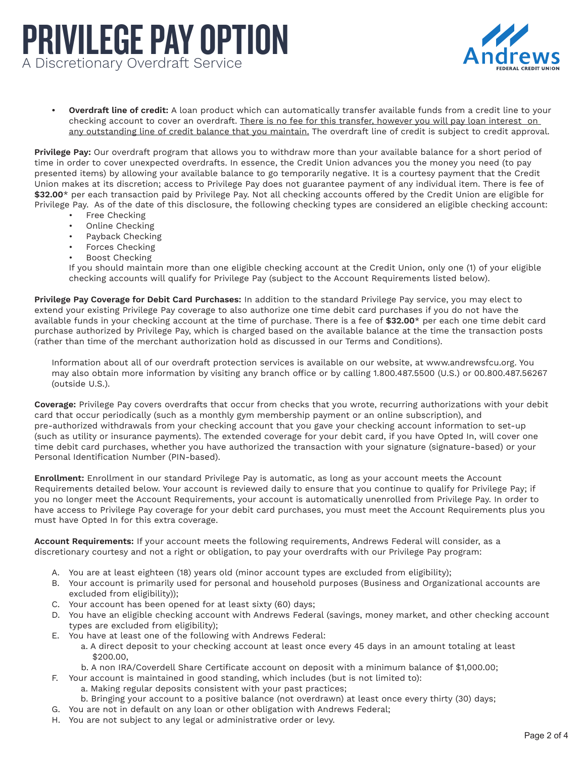## PRIVILEGE PAY OPTION A Discretionary Overdraft Service



 **• Overdraft line of credit:** A loan product which can automatically transfer available funds from a credit line to your checking account to cover an overdraft. There is no fee for this transfer, however you will pay loan interest on any outstanding line of credit balance that you maintain. The overdraft line of credit is subject to credit approval.

**Privilege Pay:** Our overdraft program that allows you to withdraw more than your available balance for a short period of time in order to cover unexpected overdrafts. In essence, the Credit Union advances you the money you need (to pay presented items) by allowing your available balance to go temporarily negative. It is a courtesy payment that the Credit Union makes at its discretion; access to Privilege Pay does not guarantee payment of any individual item. There is fee of **\$32.00**\* per each transaction paid by Privilege Pay. Not all checking accounts offered by the Credit Union are eligible for Privilege Pay. As of the date of this disclosure, the following checking types are considered an eligible checking account:

- Free Checking
- Online Checking
- Payback Checking
- Forces Checking
- Boost Checking

If you should maintain more than one eligible checking account at the Credit Union, only one (1) of your eligible checking accounts will qualify for Privilege Pay (subject to the Account Requirements listed below).

 available funds in your checking account at the time of purchase. There is a fee of **\$32.00**\* per each one time debit card **Privilege Pay Coverage for Debit Card Purchases:** In addition to the standard Privilege Pay service, you may elect to extend your existing Privilege Pay coverage to also authorize one time debit card purchases if you do not have the purchase authorized by Privilege Pay, which is charged based on the available balance at the time the transaction posts (rather than time of the merchant authorization hold as discussed in our Terms and Conditions).

Information about all of our overdraft protection services is available on our website, at [www.andrewsfcu.org.](www.andrewsfcu.org) You may also obtain more information by visiting any branch office or by calling 1.800.487.5500 (U.S.) or 00.800.487.56267 (outside U.S.).

 time debit card purchases, whether you have authorized the transaction with your signature (signature-based) or your **Coverage:** Privilege Pay covers overdrafts that occur from checks that you wrote, recurring authorizations with your debit card that occur periodically (such as a monthly gym membership payment or an online subscription), and pre-authorized withdrawals from your checking account that you gave your checking account information to set-up (such as utility or insurance payments). The extended coverage for your debit card, if you have Opted In, will cover one Personal Identification Number (PIN-based).

**Enrollment:** Enrollment in our standard Privilege Pay is automatic, as long as your account meets the Account Requirements detailed below. Your account is reviewed daily to ensure that you continue to qualify for Privilege Pay; if you no longer meet the Account Requirements, your account is automatically unenrolled from Privilege Pay. In order to have access to Privilege Pay coverage for your debit card purchases, you must meet the Account Requirements plus you must have Opted In for this extra coverage.

**Account Requirements:** If your account meets the following requirements, Andrews Federal will consider, as a discretionary courtesy and not a right or obligation, to pay your overdrafts with our Privilege Pay program:

- A. You are at least eighteen (18) years old (minor account types are excluded from eligibility);
- B. Your account is primarily used for personal and household purposes (Business and Organizational accounts are excluded from eligibility));
- C. Your account has been opened for at least sixty (60) days;
- D. You have an eligible checking account with Andrews Federal (savings, money market, and other checking account types are excluded from eligibility);
- E. You have at least one of the following with Andrews Federal:
	- a. A direct deposit to your checking account at least once every 45 days in an amount totaling at least \$200.00,
	- b. A non IRA/Coverdell Share Certificate account on deposit with a minimum balance of \$[1,000.00](https://1,000.00);
- F. Your account is maintained in good standing, which includes (but is not limited to):
	- a. Making regular deposits consistent with your past practices;
		- b. Bringing your account to a positive balance (not overdrawn) at least once every thirty (30) days;
- G. You are not in default on any loan or other obligation with Andrews Federal;
- H. You are not subject to any legal or administrative order or levy.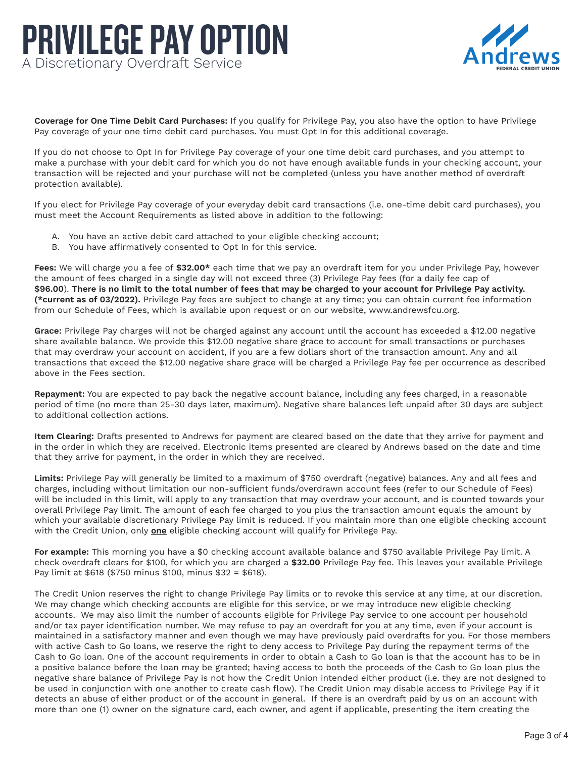## PRIVILEGE PAY OPTION A Discretionary Overdraft Service



**Coverage for One Time Debit Card Purchases:** If you qualify for Privilege Pay, you also have the option to have Privilege Pay coverage of your one time debit card purchases. You must Opt In for this additional coverage.

If you do not choose to Opt In for Privilege Pay coverage of your one time debit card purchases, and you attempt to make a purchase with your debit card for which you do not have enough available funds in your checking account, your transaction will be rejected and your purchase will not be completed (unless you have another method of overdraft protection available).

If you elect for Privilege Pay coverage of your everyday debit card transactions (i.e. one-time debit card purchases), you must meet the Account Requirements as listed above in addition to the following:

- A. You have an active debit card attached to your eligible checking account;
- B. You have affirmatively consented to Opt In for this service.

 **Fees:** We will charge you a fee of **\$32.00\*** each time that we pay an overdraft item for you under Privilege Pay, however the amount of fees charged in a single day will not exceed three (3) Privilege Pay fees (for a daily fee cap of **\$96.00**). **There is no limit to the total number of fees that may be charged to your account for Privilege Pay activity. (\*current as of 03/2022).** Privilege Pay fees are subject to change at any time; you can obtain current fee information from our Schedule of Fees, which is available upon request or on our website, [www.andrewsfcu.org.](www.andrewsfcu.org)

 that may overdraw your account on accident, if you are a few dollars short of the transaction amount. Any and all **Grace:** Privilege Pay charges will not be charged against any account until the account has exceeded a \$12.00 negative share available balance. We provide this \$12.00 negative share grace to account for small transactions or purchases transactions that exceed the \$12.00 negative share grace will be charged a Privilege Pay fee per occurrence as described above in the Fees section.

**Repayment:** You are expected to pay back the negative account balance, including any fees charged, in a reasonable period of time (no more than 25-30 days later, maximum). Negative share balances left unpaid after 30 days are subject to additional collection actions.

**Item Clearing:** Drafts presented to Andrews for payment are cleared based on the date that they arrive for payment and in the order in which they are received. Electronic items presented are cleared by Andrews based on the date and time that they arrive for payment, in the order in which they are received.

 will be included in this limit, will apply to any transaction that may overdraw your account, and is counted towards your **Limits:** Privilege Pay will generally be limited to a maximum of \$750 overdraft (negative) balances. Any and all fees and charges, including without limitation our non-sufficient funds/overdrawn account fees (refer to our Schedule of Fees) overall Privilege Pay limit. The amount of each fee charged to you plus the transaction amount equals the amount by which your available discretionary Privilege Pay limit is reduced. If you maintain more than one eligible checking account with the Credit Union, only **one** eligible checking account will qualify for Privilege Pay.

**For example:** This morning you have a \$0 checking account available balance and \$750 available Privilege Pay limit. A check overdraft clears for \$100, for which you are charged a **\$32.00** Privilege Pay fee. This leaves your available Privilege Pay limit at \$618 (\$750 minus \$100, minus \$32 = \$618).

 maintained in a satisfactory manner and even though we may have previously paid overdrafts for you. For those members The Credit Union reserves the right to change Privilege Pay limits or to revoke this service at any time, at our discretion. We may change which checking accounts are eligible for this service, or we may introduce new eligible checking accounts. We may also limit the number of accounts eligible for Privilege Pay service to one account per household and/or tax payer identification number. We may refuse to pay an overdraft for you at any time, even if your account is with active Cash to Go loans, we reserve the right to deny access to Privilege Pay during the repayment terms of the Cash to Go loan. One of the account requirements in order to obtain a Cash to Go loan is that the account has to be in a positive balance before the loan may be granted; having access to both the proceeds of the Cash to Go loan plus the negative share balance of Privilege Pay is not how the Credit Union intended either product (i.e. they are not designed to be used in conjunction with one another to create cash flow). The Credit Union may disable access to Privilege Pay if it detects an abuse of either product or of the account in general. If there is an overdraft paid by us on an account with more than one (1) owner on the signature card, each owner, and agent if applicable, presenting the item creating the